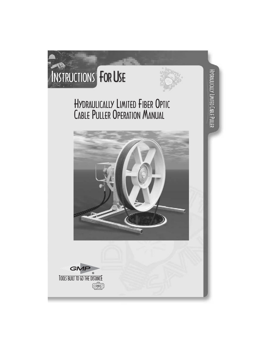



HYDRAULICALLY LIMITED

Hydrautically Limited Cable Puller

# HYDRAULICALLY LIMITED FIBER OPTIC CABLE PULLER OPERATION MANUAL



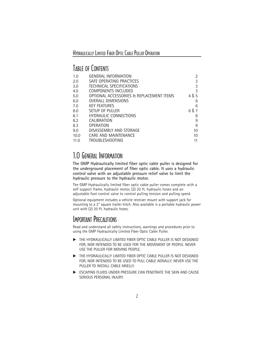#### TABLE OF CONTENTS

| 1.0  | GENERAL INFORMATION                      | 2     |
|------|------------------------------------------|-------|
| 2.0  | SAFE OPERATING PRACTICES                 | 3     |
| 3.0  | TECHNICAL SPECIFICATIONS                 | 3     |
| 4.0  | <b>COMPONENTS INCLUDED</b>               | 3     |
| 5.0  | OPTIONAL ACCESSORIES & REPLACEMENT ITEMS | 4 & 5 |
| 6.0  | <b>OVERALL DIMENSIONS</b>                | 6     |
| 7.0  | <b>KEY FEATURES</b>                      | 6     |
| 8.0  | SETUP OF PULLER                          | 6 & 7 |
| 8.1  | <b>HYDRAULIC CONNECTIONS</b>             | 8     |
| 8.2  | CALIBRATION                              | 9     |
| 8.3  | <b>OPERATION</b>                         | 9     |
| 9.0  | DISASSEMBLY AND STORAGE                  | 10    |
| 10.0 | CARE AND MAINTENANCE                     | 10    |
| 11.0 | <b>TROUBLESHOOTING</b>                   | 11    |

## 1.0 GENERAL INFORMATION

**The GMP Hydraulically limited fiber optic cable puller is designed for the underground placement of fiber optic cable. It uses a hydraulic control valve with an adjustable pressure relief valve to limit the hydraulic pressure to the hydraulic motor.**

The GMP Hydraulically limited fiber optic cable puller comes complete with a self support frame, hydraulic motor, (2) 20 ft. hydraulic hoses and an adjustable foot control valve to control pulling tension and pulling speed.

Optional equipment includes a vehicle receiver mount with support jack for mounting to a 2" square trailer hitch. Also available is a portable hydraulic power unit with (2) 20 Ft. hydraulic hoses.

#### IMPORTANT PRECAUTIONS

Read and understand all safety instructions, warnings and procedures prior to using the GMP Hydraulically Limited Fiber Optic Cable Puller.

- THE HYDRAULICALLY LIMITED FIBER OPTIC CABLE PULLER IS NOT DESIGNED FOR, NOR INTENDED TO BE USED FOR THE MOVEMENT OF PEOPLE. NEVER USE THE PULLER FOR MOVING PEOPLE.
- THE HYDRAULICALLY LIMITED FIBER OPTIC CABLE PULLER IS NOT DESIGNED FOR, NOR INTENDED TO BE USED TO PULL CABLE AERIALLY. NEVER USE THE PULLER TO INSTALL CABLE ARIFLLY.
- ESCAPING FLUIDS UNDER PRESSURE CAN PENETRATE THE SKIN AND CAUSE SERIOUS PERSONAL INJURY.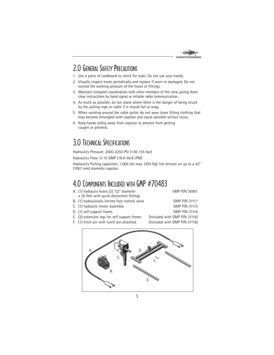

#### 2.0 GENERAL SAFETY PRECAUTIONS

- 1. Use a piece of cardboard to check for leaks. Do not use your hands.
- 2. Visually inspect hoses periodically and replace if worn or damaged. Do not exceed the working pressure of the hoses or fittings.
- 3. Maintain complete coordination with other members of the crew, giving them clear instructions by hand signal or reliable radio communication.
- 4. As much as possible, do not stand where there is the danger of being struck by the pulling rope or cable if is should fail or snag.
- 5. When working around the cable puller, do not wear loose fitting clothing that may become entangled with capstan and cause possible serious injury.
- 6. Keep hands safely away from capstan to prevent from getting caught or pinched.

#### 3.0 TECHNICAL SPECIFICATIONS

Hydraulics Pressure: 2000-2250 PSI (138-155 bar)

Hydraulics Flow: 5-15 GMP (18.9-56.8 LPM)

Hydraulics Pulling capacities: 1,000 Lbs max. (455 Kg) line tension on up to a 42" (1067 mm) diameter capstan.

#### 4.0 COMPONENTS INCLUDED WITH GMP #70483

| A. (1) hydraulic hoses (2) 1/2" diameter                | GMP P/N 30901                       |
|---------------------------------------------------------|-------------------------------------|
| x 20 feet with quick disconnect fittings                |                                     |
| B. (1) hydraulically limited foot control valve         | GMP P/N 31117                       |
| C. (1) hydraulic motor assembly.                        | GMP P/N 31115                       |
| D. (1) self support frame.                              | GMP P/N 31116                       |
| $\mathsf{E}$ (2) extension legs for self support from a | $($ lnoluded with CMD D $(N 2111c)$ |

- E. (2) extension legs for self support frame. (Included with GMP P/N 31116)
- F. (1) hitch pin with lynch pin attached. (Included with GMP P/N 31116)

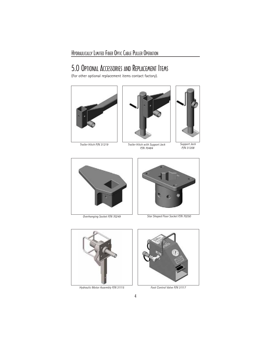#### 5.0 OPTIONAL ACCESSORIES AND REPLACEMENT ITEMS

(For other optional replacement items contact factory).



*Trailer Hitch P/N 31219*



*Trailer Hitch with Support Jack P/N 70484*



*Support Jack P/N 31208*





*Overhanging Socket P/N 70249 Star Shaped Floor Socket P/N 70250*



*Hydraulic Motor Assembly P/N 31115 Foot Control Valve P/N 31117*

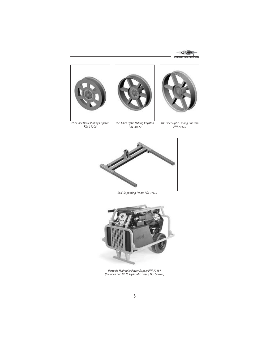



*25" Fiber Optic Pulling Capstan P/N 31208*



*32" Fiber Optic Pulling Capstan P/N 70472*



*40" Fiber Optic Pulling Capstan P/N 70478*



*Self-Suppoting Frame P/N 31116*



*Portable Hydraulic Power Supply P/N 70487 (Includes two 20 ft. Hydraulic Hoses, Not Shown)*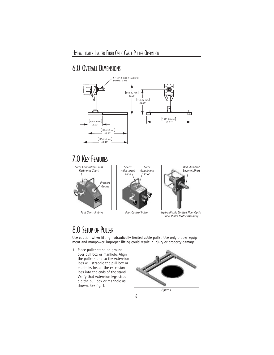## 6.0 OVERALL DIMENSIONS



#### 7.0 KEY FEATURES





*Foot Control Valve*



*Foot Control Valve Hydraulically Limited Fiber Optic Cable Puller Motor Assembly*

#### 8.0 SETUP OF PULLER

Use caution when lifting hydraulically limited cable puller. Use only proper equipment and manpower. Improper lifting could result in injury or property damage.

1. Place puller stand on ground over pull box or manhole. Align the puller stand so the extension legs will straddle the pull box or manhole. Install the extension legs into the ends of the stand. Verify that extension legs straddle the pull box or manhole as shown. See fig. 1.



*Figure 1*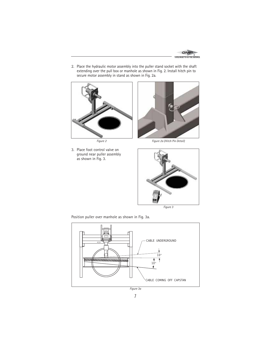

2. Place the hydraulic motor assembly into the puller stand socket with the shaft extending over the pull box or manhole as shown in Fig. 2. Install hitch pin to secure motor assembly in stand as shown in Fig. 2a.



*Figure 2*

3. Place foot control valve on ground near puller assembly as shown in Fig. 3.



*Figure 2a (Hitch Pin Detail)*



*Figure 3*

Position puller over manhole as shown in Fig. 3a.



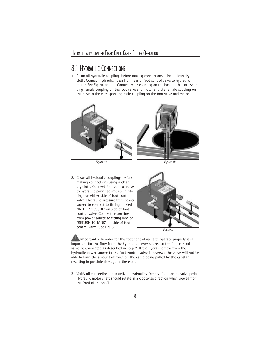#### 8.1 HYDRAULIC CONNECTIONS

1. Clean all hydraulic couplings before making connections using a clean dry cloth. Connect hydraulic hoses from rear of foot control valve to hydraulic motor. See Fig. 4a and 4b. Connect male coupling on the hose to the corresponding female coupling on the foot valve and motor and the female coupling on the hose to the corresponding male coupling on the foot valve and motor.



*Figure 4a Figure 4b*



2. Clean all hydraulic couplings before making connections using a clean dry cloth. Connect foot control valve to hydraulic power source using fittings on either side of foot control valve. Hydraulic pressure from power source to connect to fitting labeled "INLET PRESSURE" on side of foot control valve. Connect return line from power source to fitting labeled "RETURN TO TANK" on side of foot control valve. See Fig. 5.



*Figure 5*

**Important** – In order for the foot control valve to operate properly it is important for the flow from the hydraulic power source to the foot control valve be connected as described in step 2. If the hydraulic flow from the hydraulic power source to the foot control valve is reversed the valve will not be able to limit the amount of force on the cable being pulled by the capstan resulting in possible damage to the cable.

3. Verify all connections then activate hydraulics. Depress foot control valve pedal. Hydraulic motor shaft should rotate in a clockwise direction when viewed from the front of the shaft.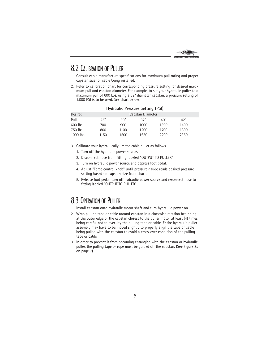

#### 8.2 CALIBRATION OF PULLER

- 1. Consult cable manufacture specifications for maximum pull rating and proper capstan size for cable being installed.
- 2. Refer to calibration chart for corresponding pressure setting for desired maximum pull and capstan diameter. For example, to set your hydraulic puller to a maximum pull of 600 Lbs. using a 32" diameter capstan, a pressure setting of 1,000 PSI is to be used. See chart below.

| <b>Desired</b> |      | Capstan Diameter |      |      |      |  |
|----------------|------|------------------|------|------|------|--|
| Pull           | 25"  | 30"              | 32"  | 40"  | 42"  |  |
| 600 lbs.       | 700  | 900              | 1000 | 1300 | 1400 |  |
| 750 lbs.       | 800  | 1100             | 1200 | 1700 | 1800 |  |
| 1000 lbs.      | 1150 | 1500             | 1650 | 2200 | 2350 |  |

#### **Hydraulic Pressure Setting (PSI)**

- 3. Calibrate your hydraulically limited cable puller as follows.
	- 1. Turn off the hydraulic power source.
	- 2. Disconnect hose from fitting labeled "OUTPUT TO PULLER"
	- 3. Turn on hydraulic power source and depress foot pedal.
	- 4. Adjust "Force control knob" until pressure gauge reads desired pressure setting based on capstan size from chart.
	- 5. Release foot pedal, turn off hydraulic power source and reconnect hose to fitting labeled "OUTPUT TO PULLER".

#### 8.3 OPERATION OF PULLER

- 1. Install capstan onto hydraulic motor shaft and turn hydraulic power on.
- 2. Wrap pulling tape or cable around capstan in a clockwise rotation beginning at the outer edge of the capstan closest to the puller motor at least (4) times being careful not to over-lay the pulling tape or cable. Entire hydraulic puller assembly may have to be moved slightly to properly align the tape or cable being pulled with the capstan to avoid a cross-over condition of the pulling tape or cable.
- 3. In order to prevent it from becoming entangled with the capstan or hydraulic puller, the pulling tape or rope must be guided off the capstan. (See Figure 3a on page 7)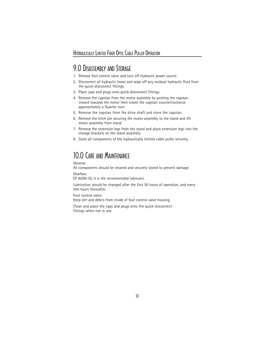#### 9.0 DISASSEMBLY AND STORAGE

- 1. Release foot control valve and turn off hydraulic power source.
- 2. Disconnect all hydraulic hoses and wipe off any residual hydraulic fluid from the quick-disconnect fittings.
- 3. Place caps and plugs onto quick-disconnect fittings.
- 4. Remove the capstan from the motor assembly by pushing the capstan inward towards the motor then rotate the capstan counterclockwise approximately a Quarter turn.
- 5. Remove the capstan from the drive shaft and store the capstan.
- 6. Remove the hitch pin securing the motor assembly to the stand and lift motor assembly from stand.
- 7. Remove the extension legs from the stand and place extension legs into the storage brackets on the stand assembly.
- 8. Store all components of the hydraulically limited cable puller securely.

## 10.0 CARE AND MAINTENANCE

General:

All components should be cleaned and securely stored to prevent damage.

Gearbox:

EP 80/90 GL-5 is the recommended lubricant.

Lubrication should be changed after the first 50 hours of operation, and every 500 hours thereafter.

Foot control valve:

Keep dirt and debris from inside of foot control valve housing.

Clean and place the caps and plugs onto the quick-disconnect fittings when not in use.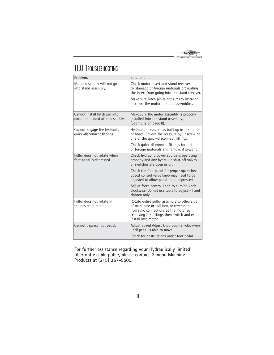

# 11.0 TROUBLESHOOTING

| Problem:                                                         | Solution:                                                                                                                                                                                           |  |  |
|------------------------------------------------------------------|-----------------------------------------------------------------------------------------------------------------------------------------------------------------------------------------------------|--|--|
| Motor assembly will not go<br>into stand assembly.               | Check motor insert and stand receiver<br>for damage or foreign materials preventing<br>the insert from going into the stand receiver.                                                               |  |  |
|                                                                  | Make sure hitch pin is not already installed<br>in either the motor or stand assemblies.                                                                                                            |  |  |
| Cannot install hitch pin into<br>motor and stand after assembly. | Make sure the motor assembly is properly<br>installed into the stand assembly,<br>(See fig. 2 on page 8).                                                                                           |  |  |
| Cannot engage the hydraulic<br>quick-disconnect fittings.        | Hydraulic pressure has built up in the motor<br>or hoses. Relieve the pressure by unscrewing<br>one of the quick-disconnect fittings.                                                               |  |  |
|                                                                  | Check quick-disconnect fittings for dirt<br>or foreign materials and remove if present.                                                                                                             |  |  |
| Puller does not rotate when<br>foot pedal is depressed.          | Check hydraulic power source is operating<br>properly and any hydraulic shut-off valves<br>or switches are open or on.                                                                              |  |  |
|                                                                  | Check the foot pedal for proper operation.<br>Speed control valve knob may need to be<br>adjusted to allow pedal to be depressed.                                                                   |  |  |
|                                                                  | Adjust force control knob by turning knob<br>clockwise. Do not use tools to adjust - hand<br>tighten only.                                                                                          |  |  |
| Puller does not rotate in<br>the desired direction.              | Rotate entire puller assemble to other side<br>of man-hole or pull box, or reverse the<br>hydraulic connections at the motor by<br>removing the fittings then switch and re-<br>install into motor. |  |  |
| Cannot depress foot pedal.                                       | Adjust Speed Adjust knob counter-clockwise<br>until pedal is able to move.                                                                                                                          |  |  |
|                                                                  | Check for obstructions under foot pedal.                                                                                                                                                            |  |  |

**For further assistance regarding your Hydraulically limited fiber optic cable puller, please contact General Machine Products at (215) 357-5500.**